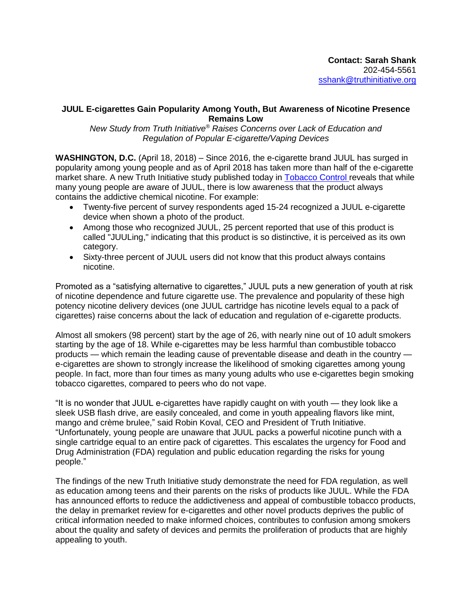## **JUUL E-cigarettes Gain Popularity Among Youth, But Awareness of Nicotine Presence Remains Low**

*New Study from Truth Initiative® Raises Concerns over Lack of Education and Regulation of Popular E-cigarette/Vaping Devices*

**WASHINGTON, D.C.** (April 18, 2018) – Since 2016, the e-cigarette brand JUUL has surged in popularity among young people and as of April 2018 has taken more than half of the e-cigarette market share. A new Truth Initiative study published today in [Tobacco Control](http://dx.doi.org/10.1136/tobaccocontrol-2018-054273) reveals that while many young people are aware of JUUL, there is low awareness that the product always contains the addictive chemical nicotine. For example:

- Twenty-five percent of survey respondents aged 15-24 recognized a JUUL e-cigarette device when shown a photo of the product.
- Among those who recognized JUUL, 25 percent reported that use of this product is called "JUULing," indicating that this product is so distinctive, it is perceived as its own category.
- Sixty-three percent of JUUL users did not know that this product always contains nicotine.

Promoted as a "satisfying alternative to cigarettes," JUUL puts a new generation of youth at risk of nicotine dependence and future cigarette use. The prevalence and popularity of these high potency nicotine delivery devices (one JUUL cartridge has nicotine levels equal to a pack of cigarettes) raise concerns about the lack of education and regulation of e-cigarette products.

Almost all smokers (98 percent) start by the age of 26, with nearly nine out of 10 adult smokers starting by the age of 18. While e-cigarettes may be less harmful than combustible tobacco products — which remain the leading cause of preventable disease and death in the country e-cigarettes are shown to strongly increase the likelihood of smoking cigarettes among young people. In fact, more than four times as many young adults who use e-cigarettes begin smoking tobacco cigarettes, compared to peers who do not vape.

"It is no wonder that JUUL e-cigarettes have rapidly caught on with youth — they look like a sleek USB flash drive, are easily concealed, and come in youth appealing flavors like mint, mango and crème brulee," said Robin Koval, CEO and President of Truth Initiative. "Unfortunately, young people are unaware that JUUL packs a powerful nicotine punch with a single cartridge equal to an entire pack of cigarettes. This escalates the urgency for Food and Drug Administration (FDA) regulation and public education regarding the risks for young people."

The findings of the new Truth Initiative study demonstrate the need for FDA regulation, as well as education among teens and their parents on the risks of products like JUUL. While the FDA has announced efforts to reduce the addictiveness and appeal of combustible tobacco products, the delay in premarket review for e-cigarettes and other novel products deprives the public of critical information needed to make informed choices, contributes to confusion among smokers about the quality and safety of devices and permits the proliferation of products that are highly appealing to youth.